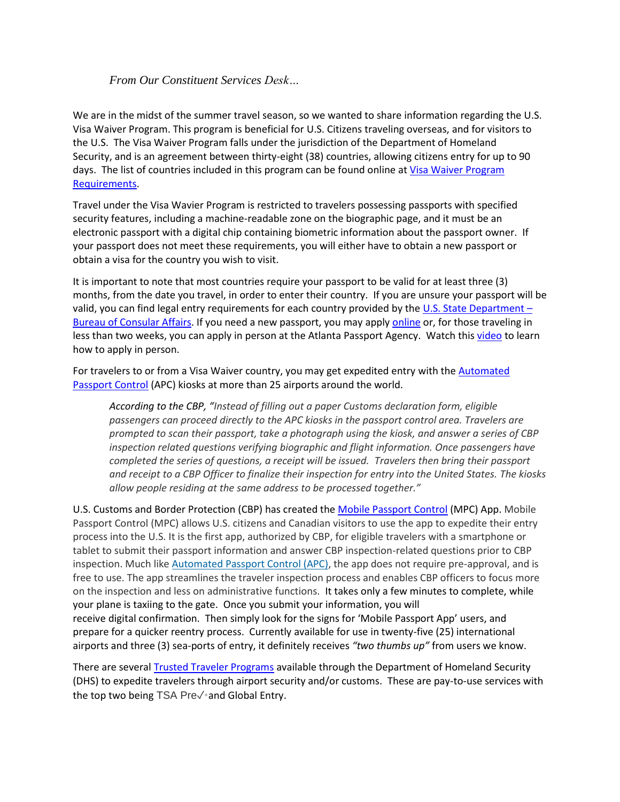## *From Our Constituent Services Desk…*

We are in the midst of the summer travel season, so we wanted to share information regarding the U.S. Visa Waiver Program. This program is beneficial for U.S. Citizens traveling overseas, and for visitors to the U.S. The Visa Waiver Program falls under the jurisdiction of the Department of Homeland Security, and is an agreement between thirty-eight (38) countries, allowing citizens entry for up to 90 days. The list of countries included in this program can be found online at *Visa Waiver Program* [Requirements.](https://www.dhs.gov/visa-waiver-program-requirements)

Travel under the Visa Wavier Program is restricted to travelers possessing passports with specified security features, including a machine-readable zone on the biographic page, and it must be an electronic passport with a digital chip containing biometric information about the passport owner. If your passport does not meet these requirements, you will either have to obtain a new passport or obtain a visa for the country you wish to visit.

It is important to note that most countries require your passport to be valid for at least three (3) months, from the date you travel, in order to enter their country. If you are unsure your passport will be valid, you can find legal entry requirements for each country provided by the  $U.S.$  State Department – [Bureau of Consular Affairs.](https://travel.state.gov/content/travel/en/international-travel/International-Travel-Country-Information-Pages.html) If you need a new passport, you may apply [online](https://travel.state.gov/content/travel/en/passports.html) or, for those traveling in less than two weeks, you can apply in person at the Atlanta Passport Agency. Watch this [video](https://youtu.be/yAQdMNqvrxE) to learn how to apply in person.

For travelers to or from a Visa Waiver country, you may get expedited entry with the [Automated](https://www.cbp.gov/travel/us-citizens/apc)  [Passport Control](https://www.cbp.gov/travel/us-citizens/apc) (APC) kiosks at more than 25 airports around the world.

*According to the CBP, "Instead of filling out a paper Customs declaration form, eligible passengers can proceed directly to the APC kiosks in the passport control area. Travelers are prompted to scan their passport, take a photograph using the kiosk, and answer a series of CBP inspection related questions verifying biographic and flight information. Once passengers have completed the series of questions, a receipt will be issued. Travelers then bring their passport and receipt to a CBP Officer to finalize their inspection for entry into the United States. The kiosks allow people residing at the same address to be processed together."*

U.S. Customs and Border Protection (CBP) has created the [Mobile Passport Control](https://www.cbp.gov/travel/us-citizens/mobile-passport-control) (MPC) App. Mobile Passport Control (MPC) allows U.S. citizens and Canadian visitors to use the app to expedite their entry process into the U.S. It is the first app, authorized by CBP, for eligible travelers with a smartphone or tablet to submit their passport information and answer CBP inspection-related questions prior to CBP inspection. Much like [Automated Passport Control \(APC\),](https://www.cbp.gov/travel/us-citizens/apc) the app does not require pre-approval, and is free to use. The app streamlines the traveler inspection process and enables CBP officers to focus more on the inspection and less on administrative functions. It takes only a few minutes to complete, while your plane is taxiing to the gate. Once you submit your information, you will receive digital confirmation. Then simply look for the signs for 'Mobile Passport App' users, and prepare for a quicker reentry process. Currently available for use in twenty-five (25) international airports and three (3) sea-ports of entry, it definitely receives *"two thumbs up"* from users we know.

There are several [Trusted Traveler Programs](https://ttp.cbp.dhs.gov/) available through the Department of Homeland Security (DHS) to expedite travelers through airport security and/or customs. These are pay-to-use services with the top two being TSA Preè and Global Entry.